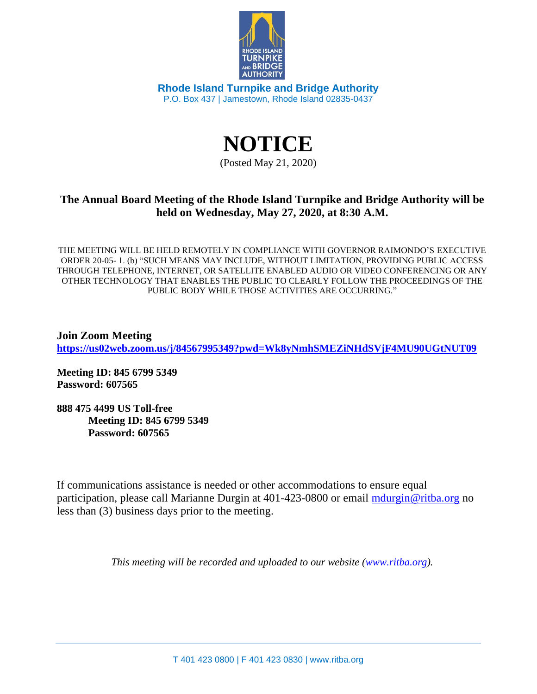

**Rhode Island Turnpike and Bridge Authority** P.O. Box 437 | Jamestown, Rhode Island 02835-0437

> **NOTICE** (Posted May 21, 2020)

## **The Annual Board Meeting of the Rhode Island Turnpike and Bridge Authority will be held on Wednesday, May 27, 2020, at 8:30 A.M.**

THE MEETING WILL BE HELD REMOTELY IN COMPLIANCE WITH GOVERNOR RAIMONDO'S EXECUTIVE ORDER 20-05- 1. (b) "SUCH MEANS MAY INCLUDE, WITHOUT LIMITATION, PROVIDING PUBLIC ACCESS THROUGH TELEPHONE, INTERNET, OR SATELLITE ENABLED AUDIO OR VIDEO CONFERENCING OR ANY OTHER TECHNOLOGY THAT ENABLES THE PUBLIC TO CLEARLY FOLLOW THE PROCEEDINGS OF THE PUBLIC BODY WHILE THOSE ACTIVITIES ARE OCCURRING."

**Join Zoom Meeting <https://us02web.zoom.us/j/84567995349?pwd=Wk8yNmhSMEZiNHdSVjF4MU90UGtNUT09>**

**Meeting ID: 845 6799 5349 Password: 607565**

**888 475 4499 US Toll-free Meeting ID: 845 6799 5349 Password: 607565**

If communications assistance is needed or other accommodations to ensure equal participation, please call Marianne Durgin at 401-423-0800 or email [mdurgin@ritba.org](mailto:mdurgin@ritba.org) no less than (3) business days prior to the meeting.

*This meeting will be recorded and uploaded to our website [\(www.ritba.org\)](http://www.ritba.org/).*